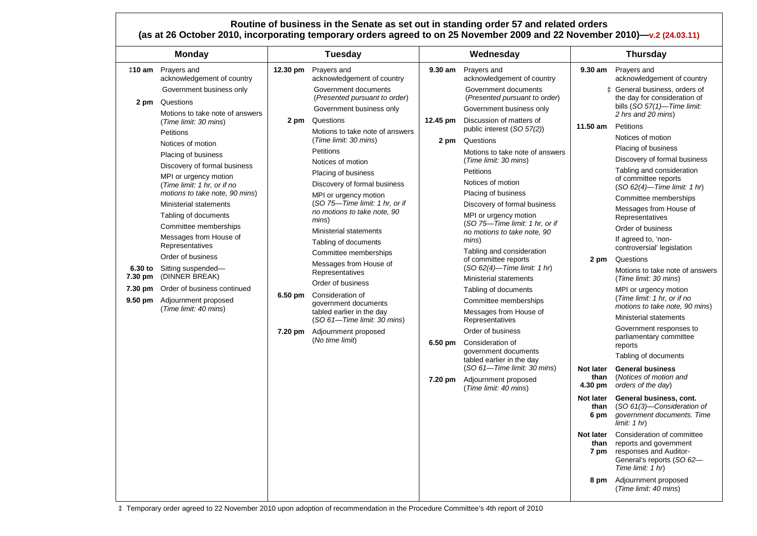#### **Routine of business in the Senate as set out in standing order 57 and related orders (as at 26 October 2010, incorporating temporary orders agreed to on 25 November 2009 and 22 November 2010)—v.2 (24.03.11)**

| <b>Monday</b>                                                                                                                                                                                                                                                                                                                                                                                                                                                                                               |  |
|-------------------------------------------------------------------------------------------------------------------------------------------------------------------------------------------------------------------------------------------------------------------------------------------------------------------------------------------------------------------------------------------------------------------------------------------------------------------------------------------------------------|--|
| <b>‡10 am</b> Prayers and<br>acknowledgement of country<br>Government business only<br>Questions<br>2 pm<br>Motions to take note of answers<br>(Time limit: 30 mins)<br>Petitions<br>Notices of motion<br>Placing of business<br>Discovery of formal business<br>MPI or urgency motion<br>(Time limit: 1 hr, or if no<br>motions to take note, 90 mins)<br><b>Ministerial statements</b><br>Tabling of documents<br>Committee memberships<br>Messages from House of<br>Representatives<br>Order of business |  |
| 6.30 to Sitting suspended-<br>(DINNER BREAK)<br>7.30 pm<br>7.30 pm<br>Order of business continued<br>$9.50 \text{ pm}$<br>Adjournment proposed<br>(Time limit: 40 mins)                                                                                                                                                                                                                                                                                                                                     |  |

‡ Temporary order agreed to 22 November 2010 upon adoption of recommendation in the Procedure Committee's 4th report of 2010